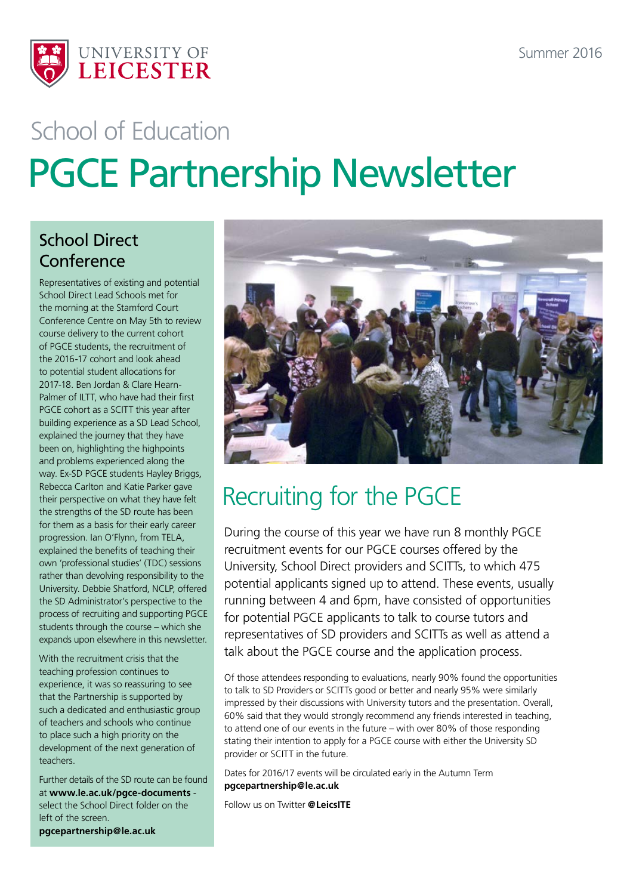

# PGCE Partnership Newsletter School of Education

#### School Direct Conference

Representatives of existing and potential School Direct Lead Schools met for the morning at the Stamford Court Conference Centre on May 5th to review course delivery to the current cohort of PGCE students, the recruitment of the 2016-17 cohort and look ahead to potential student allocations for 2017-18. Ben Jordan & Clare Hearn-Palmer of ILTT, who have had their first PGCE cohort as a SCITT this year after building experience as a SD Lead School, explained the journey that they have been on, highlighting the highpoints and problems experienced along the way. Ex-SD PGCE students Hayley Briggs, Rebecca Carlton and Katie Parker gave their perspective on what they have felt the strengths of the SD route has been for them as a basis for their early career progression. Ian O'Flynn, from TELA, explained the benefits of teaching their own 'professional studies' (TDC) sessions rather than devolving responsibility to the University. Debbie Shatford, NCLP, offered the SD Administrator's perspective to the process of recruiting and supporting PGCE students through the course – which she expands upon elsewhere in this newsletter.

With the recruitment crisis that the teaching profession continues to experience, it was so reassuring to see that the Partnership is supported by such a dedicated and enthusiastic group of teachers and schools who continue to place such a high priority on the development of the next generation of teachers.

Further details of the SD route can be found at **[www.le.ac.uk/pgce-documents](http://www.le.ac.uk/pgce-documents)** select the School Direct folder on the left of the screen. **pgcepartnership@le.ac.uk**



## Recruiting for the PGCE

During the course of this year we have run 8 monthly PGCE recruitment events for our PGCE courses offered by the University, School Direct providers and SCITTs, to which 475 potential applicants signed up to attend. These events, usually running between 4 and 6pm, have consisted of opportunities for potential PGCE applicants to talk to course tutors and representatives of SD providers and SCITTs as well as attend a talk about the PGCE course and the application process.

Of those attendees responding to evaluations, nearly 90% found the opportunities to talk to SD Providers or SCITTs good or better and nearly 95% were similarly impressed by their discussions with University tutors and the presentation. Overall, 60% said that they would strongly recommend any friends interested in teaching, to attend one of our events in the future – with over 80% of those responding stating their intention to apply for a PGCE course with either the University SD provider or SCITT in the future.

Dates for 2016/17 events will be circulated early in the Autumn Term **pgcepartnership@le.ac.uk** 

Follow us on Twitter **@LeicsITE**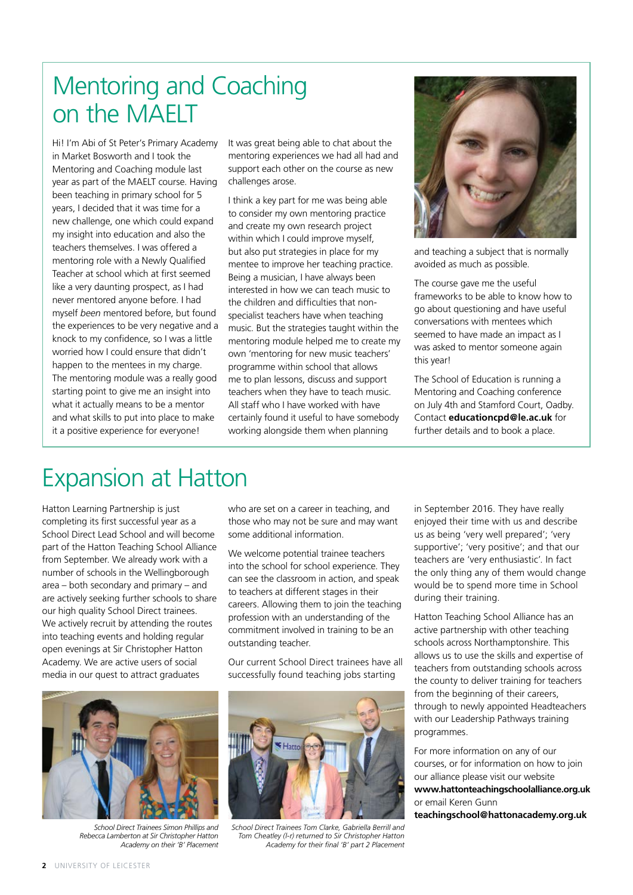### Mentoring and Coaching on the MAELT

Hi! I'm Abi of St Peter's Primary Academy in Market Bosworth and I took the Mentoring and Coaching module last year as part of the MAELT course. Having been teaching in primary school for 5 years, I decided that it was time for a new challenge, one which could expand my insight into education and also the teachers themselves. I was offered a mentoring role with a Newly Qualified Teacher at school which at first seemed like a very daunting prospect, as I had never mentored anyone before. I had myself *been* mentored before, but found the experiences to be very negative and a knock to my confidence, so I was a little worried how I could ensure that didn't happen to the mentees in my charge. The mentoring module was a really good starting point to give me an insight into what it actually means to be a mentor and what skills to put into place to make it a positive experience for everyone!

It was great being able to chat about the mentoring experiences we had all had and support each other on the course as new challenges arose.

I think a key part for me was being able to consider my own mentoring practice and create my own research project within which I could improve myself, but also put strategies in place for my mentee to improve her teaching practice. Being a musician, I have always been interested in how we can teach music to the children and difficulties that nonspecialist teachers have when teaching music. But the strategies taught within the mentoring module helped me to create my own 'mentoring for new music teachers' programme within school that allows me to plan lessons, discuss and support teachers when they have to teach music. All staff who I have worked with have certainly found it useful to have somebody working alongside them when planning



and teaching a subject that is normally avoided as much as possible.

The course gave me the useful frameworks to be able to know how to go about questioning and have useful conversations with mentees which seemed to have made an impact as I was asked to mentor someone again this year!

The School of Education is running a Mentoring and Coaching conference on July 4th and Stamford Court, Oadby. Contact **educationcpd@le.ac.uk** for further details and to book a place.

### Expansion at Hatton

Hatton Learning Partnership is just completing its first successful year as a School Direct Lead School and will become part of the Hatton Teaching School Alliance from September. We already work with a number of schools in the Wellingborough area – both secondary and primary – and are actively seeking further schools to share our high quality School Direct trainees. We actively recruit by attending the routes into teaching events and holding regular open evenings at Sir Christopher Hatton Academy. We are active users of social media in our quest to attract graduates

who are set on a career in teaching, and those who may not be sure and may want some additional information.

We welcome potential trainee teachers into the school for school experience. They can see the classroom in action, and speak to teachers at different stages in their careers. Allowing them to join the teaching profession with an understanding of the commitment involved in training to be an outstanding teacher.

Our current School Direct trainees have all successfully found teaching jobs starting



*School Direct Trainees Simon Phillips and Rebecca Lamberton at Sir Christopher Hatton Academy on their 'B' Placement* 



*School Direct Trainees Tom Clarke, Gabriella Berrill and Tom Cheatley (l-r) returned to Sir Christopher Hatton Academy for their final 'B' part 2 Placement*

in September 2016. They have really enjoyed their time with us and describe us as being 'very well prepared'; 'very supportive'; 'very positive'; and that our teachers are 'very enthusiastic'. In fact the only thing any of them would change would be to spend more time in School during their training.

Hatton Teaching School Alliance has an active partnership with other teaching schools across Northamptonshire. This allows us to use the skills and expertise of teachers from outstanding schools across the county to deliver training for teachers from the beginning of their careers, through to newly appointed Headteachers with our Leadership Pathways training programmes.

For more information on any of our courses, or for information on how to join our alliance please visit our website **www.hattonteachingschoolalliance.org.uk** or email Keren Gunn **teachingschool@hattonacademy.org.uk**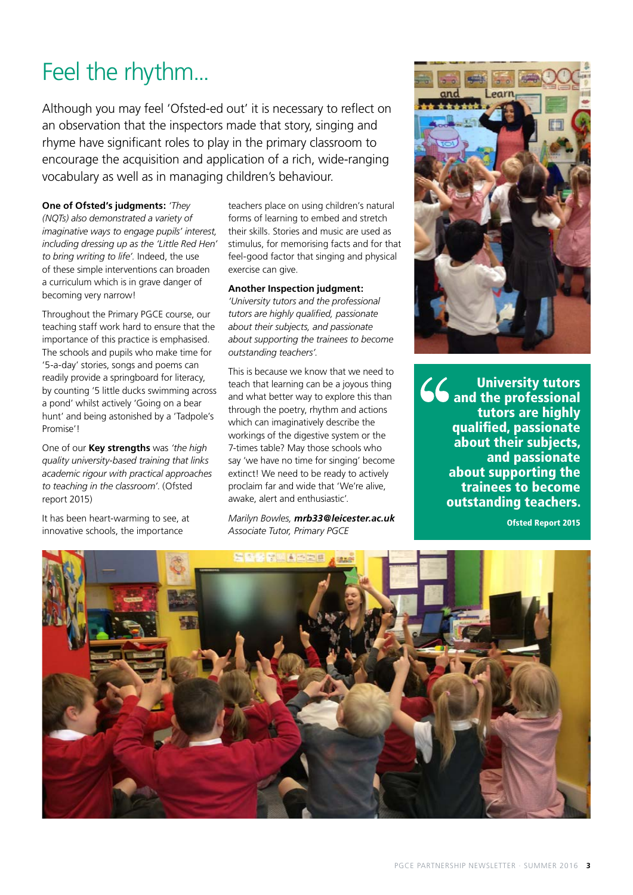## Feel the rhythm...

Although you may feel 'Ofsted-ed out' it is necessary to reflect on an observation that the inspectors made that story, singing and rhyme have significant roles to play in the primary classroom to encourage the acquisition and application of a rich, wide-ranging vocabulary as well as in managing children's behaviour.

**One of Ofsted's judgments:** *'They* 

*(NQTs) also demonstrated a variety of imaginative ways to engage pupils' interest, including dressing up as the 'Little Red Hen' to bring writing to life'.* Indeed, the use of these simple interventions can broaden a curriculum which is in grave danger of becoming very narrow!

Throughout the Primary PGCE course, our teaching staff work hard to ensure that the importance of this practice is emphasised. The schools and pupils who make time for '5-a-day' stories, songs and poems can readily provide a springboard for literacy, by counting '5 little ducks swimming across a pond' whilst actively 'Going on a bear hunt' and being astonished by a 'Tadpole's Promise'!

One of our **Key strengths** was *'the high quality university-based training that links academic rigour with practical approaches to teaching in the classroom'*. (Ofsted report 2015)

It has been heart-warming to see, at innovative schools, the importance

teachers place on using children's natural forms of learning to embed and stretch their skills. Stories and music are used as stimulus, for memorising facts and for that feel-good factor that singing and physical exercise can give.

#### **Another Inspection judgment:**

*'University tutors and the professional tutors are highly qualified, passionate about their subjects, and passionate about supporting the trainees to become outstanding teachers'.* 

This is because we know that we need to teach that learning can be a joyous thing and what better way to explore this than through the poetry, rhythm and actions which can imaginatively describe the workings of the digestive system or the 7-times table? May those schools who say 'we have no time for singing' become extinct! We need to be ready to actively proclaim far and wide that 'We're alive, awake, alert and enthusiastic'.

*Marilyn Bowles, mrb33@leicester.ac.uk Associate Tutor, Primary PGCE* 



University tutors and the professional tutors are highly qualified, passionate about their subjects, and passionate about supporting the trainees to become outstanding teachers.

Ofsted Report 2015

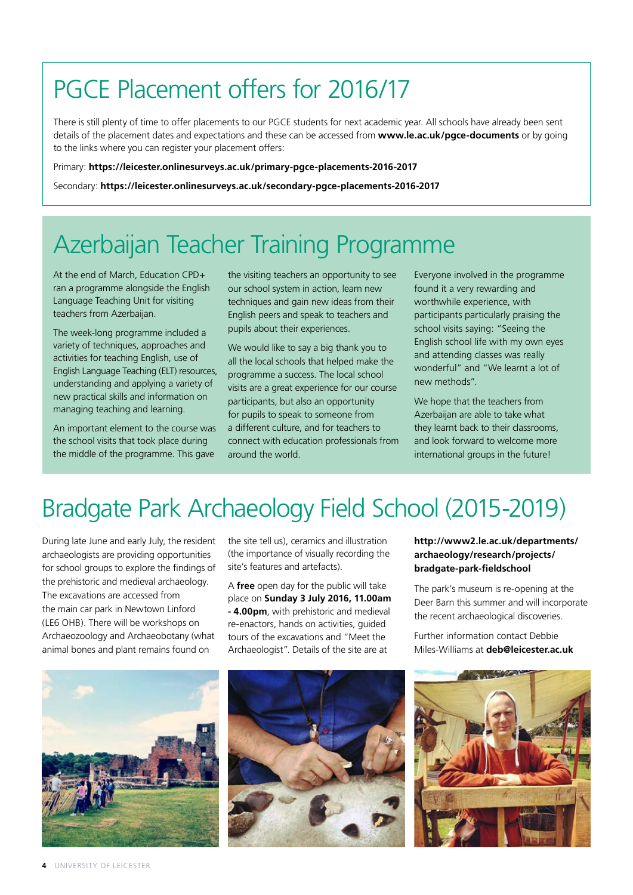## PGCE Placement offers for 2016/17

There is still plenty of time to offer placements to our PGCE students for next academic year. All schools have already been sent details of the placement dates and expectations and these can be accessed from **www.le.ac.uk/pgce-documents** or by going to the links where you can register your placement offers:

Primary: **https://leicester.onlinesurveys.ac.uk/primary-pgce-placements-2016-2017**

Secondary: **https://leicester.onlinesurveys.ac.uk/secondary-pgce-placements-2016-2017**

## Azerbaijan Teacher Training Programme

At the end of March, Education CPD+ ran a programme alongside the English Language Teaching Unit for visiting teachers from Azerbaijan.

The week-long programme included a variety of techniques, approaches and activities for teaching English, use of English Language Teaching (ELT) resources, understanding and applying a variety of new practical skills and information on managing teaching and learning.

An important element to the course was the school visits that took place during the middle of the programme. This gave

the visiting teachers an opportunity to see our school system in action, learn new techniques and gain new ideas from their English peers and speak to teachers and pupils about their experiences.

We would like to say a big thank you to all the local schools that helped make the programme a success. The local school visits are a great experience for our course participants, but also an opportunity for pupils to speak to someone from a different culture, and for teachers to connect with education professionals from around the world.

Everyone involved in the programme found it a very rewarding and worthwhile experience, with participants particularly praising the school visits saying: "Seeing the English school life with my own eyes and attending classes was really wonderful" and "We learnt a lot of new methods".

We hope that the teachers from Azerbaijan are able to take what they learnt back to their classrooms, and look forward to welcome more international groups in the future!

## Bradgate Park Archaeology Field School (2015-2019)

During late June and early July, the resident archaeologists are providing opportunities for school groups to explore the findings of the prehistoric and medieval archaeology. The excavations are accessed from the main car park in Newtown Linford (LE6 OHB). There will be workshops on Archaeozoology and Archaeobotany (what animal bones and plant remains found on

the site tell us), ceramics and illustration (the importance of visually recording the site's features and artefacts).

A **free** open day for the public will take place on **Sunday 3 July 2016, 11.00am - 4.00pm**, with prehistoric and medieval re-enactors, hands on activities, guided tours of the excavations and "Meet the Archaeologist". Details of the site are at

**[http://www2.le.ac.uk/departments/](http://www2.le.ac.uk/departments/archaeology/research/projects/bradgate-park-fieldschool) [archaeology/research/projects/](http://www2.le.ac.uk/departments/archaeology/research/projects/bradgate-park-fieldschool) [bradgate-park-fieldschool](http://www2.le.ac.uk/departments/archaeology/research/projects/bradgate-park-fieldschool)**

The park's museum is re-opening at the Deer Barn this summer and will incorporate the recent archaeological discoveries.

Further information contact Debbie Miles-Williams at **deb@leicester.ac.uk**





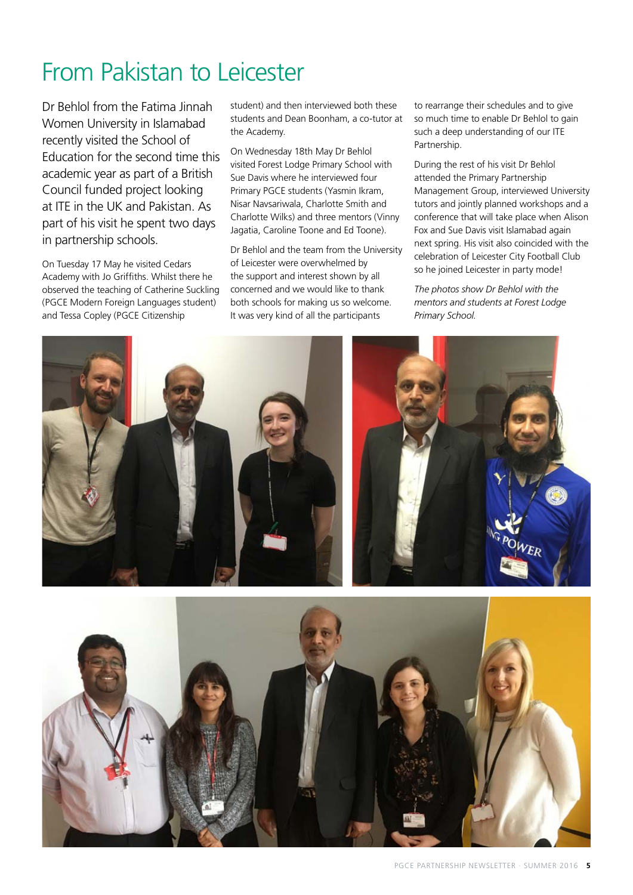## From Pakistan to Leicester

Dr Behlol from the Fatima Jinnah Women University in Islamabad recently visited the School of Education for the second time this academic year as part of a British Council funded project looking at ITE in the UK and Pakistan. As part of his visit he spent two days in partnership schools.

On Tuesday 17 May he visited Cedars Academy with Jo Griffiths. Whilst there he observed the teaching of Catherine Suckling (PGCE Modern Foreign Languages student) and Tessa Copley (PGCE Citizenship

student) and then interviewed both these students and Dean Boonham, a co-tutor at the Academy.

On Wednesday 18th May Dr Behlol visited Forest Lodge Primary School with Sue Davis where he interviewed four Primary PGCE students (Yasmin Ikram, Nisar Navsariwala, Charlotte Smith and Charlotte Wilks) and three mentors (Vinny Jagatia, Caroline Toone and Ed Toone).

Dr Behlol and the team from the University of Leicester were overwhelmed by the support and interest shown by all concerned and we would like to thank both schools for making us so welcome. It was very kind of all the participants

to rearrange their schedules and to give so much time to enable Dr Behlol to gain such a deep understanding of our ITE Partnership.

During the rest of his visit Dr Behlol attended the Primary Partnership Management Group, interviewed University tutors and jointly planned workshops and a conference that will take place when Alison Fox and Sue Davis visit Islamabad again next spring. His visit also coincided with the celebration of Leicester City Football Club so he joined Leicester in party mode!

*The photos show Dr Behlol with the mentors and students at Forest Lodge Primary School.*

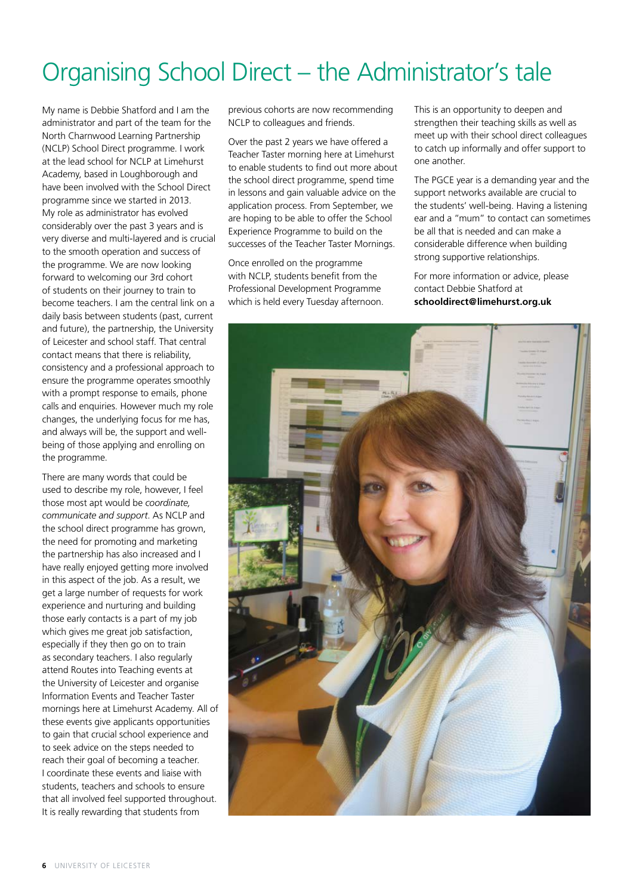## Organising School Direct – the Administrator's tale

My name is Debbie Shatford and I am the administrator and part of the team for the North Charnwood Learning Partnership (NCLP) School Direct programme. I work at the lead school for NCLP at Limehurst Academy, based in Loughborough and have been involved with the School Direct programme since we started in 2013. My role as administrator has evolved considerably over the past 3 years and is very diverse and multi-layered and is crucial to the smooth operation and success of the programme. We are now looking forward to welcoming our 3rd cohort of students on their journey to train to become teachers. I am the central link on a daily basis between students (past, current and future), the partnership, the University of Leicester and school staff. That central contact means that there is reliability, consistency and a professional approach to ensure the programme operates smoothly with a prompt response to emails, phone calls and enquiries. However much my role changes, the underlying focus for me has, and always will be, the support and wellbeing of those applying and enrolling on the programme.

There are many words that could be used to describe my role, however, I feel those most apt would be *coordinate, communicate and support*. As NCLP and the school direct programme has grown, the need for promoting and marketing the partnership has also increased and I have really enjoyed getting more involved in this aspect of the job. As a result, we get a large number of requests for work experience and nurturing and building those early contacts is a part of my job which gives me great job satisfaction, especially if they then go on to train as secondary teachers. I also regularly attend Routes into Teaching events at the University of Leicester and organise Information Events and Teacher Taster mornings here at Limehurst Academy. All of these events give applicants opportunities to gain that crucial school experience and to seek advice on the steps needed to reach their goal of becoming a teacher. I coordinate these events and liaise with students, teachers and schools to ensure that all involved feel supported throughout. It is really rewarding that students from

previous cohorts are now recommending NCLP to colleagues and friends.

Over the past 2 years we have offered a Teacher Taster morning here at Limehurst to enable students to find out more about the school direct programme, spend time in lessons and gain valuable advice on the application process. From September, we are hoping to be able to offer the School Experience Programme to build on the successes of the Teacher Taster Mornings.

Once enrolled on the programme with NCLP, students benefit from the Professional Development Programme which is held every Tuesday afternoon. This is an opportunity to deepen and strengthen their teaching skills as well as meet up with their school direct colleagues to catch up informally and offer support to one another.

The PGCE year is a demanding year and the support networks available are crucial to the students' well-being. Having a listening ear and a "mum" to contact can sometimes be all that is needed and can make a considerable difference when building strong supportive relationships.

For more information or advice, please contact Debbie Shatford at **schooldirect@limehurst.org.uk**

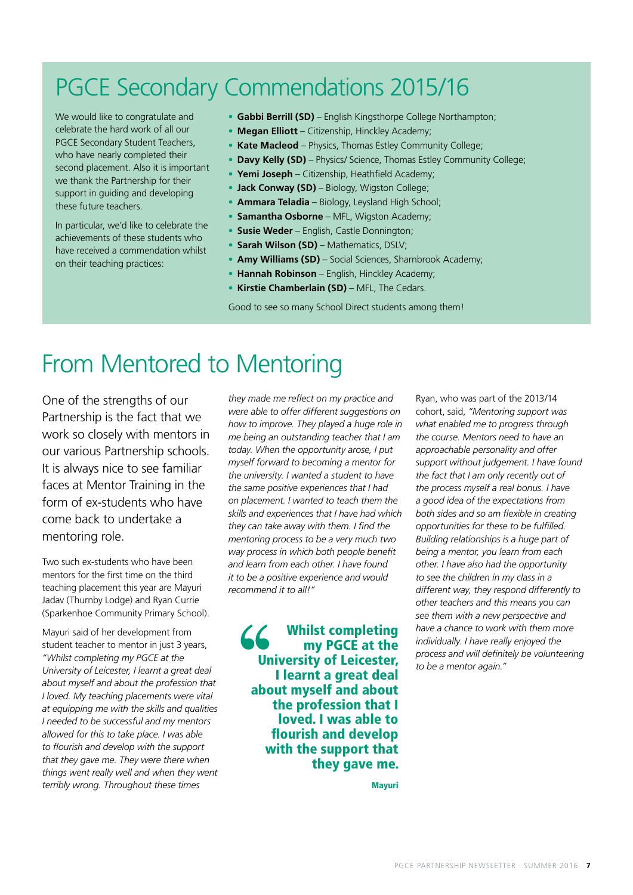### PGCE Secondary Commendations 2015/16

We would like to congratulate and celebrate the hard work of all our PGCE Secondary Student Teachers, who have nearly completed their second placement. Also it is important we thank the Partnership for their support in guiding and developing these future teachers.

In particular, we'd like to celebrate the achievements of these students who have received a commendation whilst on their teaching practices:

- **Gabbi Berrill (SD)** English Kingsthorpe College Northampton;
- **Megan Elliott** Citizenship, Hinckley Academy;
- **Kate Macleod** Physics, Thomas Estley Community College;
- **Davy Kelly (SD)** Physics/ Science, Thomas Estley Community College;
- **Yemi Joseph** Citizenship, Heathfield Academy;
- **Jack Conway (SD)** Biology, Wigston College;
- **Ammara Teladia** Biology, Leysland High School;
- **Samantha Osborne**  MFL, Wigston Academy;
- **Susie Weder**  English, Castle Donnington;
- **Sarah Wilson (SD)** Mathematics, DSLV;
- **Amy Williams (SD)** Social Sciences, Sharnbrook Academy;
- **Hannah Robinson**  English, Hinckley Academy;
- **Kirstie Chamberlain (SD)** MFL, The Cedars.

Good to see so many School Direct students among them!

#### From Mentored to Mentoring

One of the strengths of our Partnership is the fact that we work so closely with mentors in our various Partnership schools. It is always nice to see familiar faces at Mentor Training in the form of ex-students who have come back to undertake a mentoring role.

Two such ex-students who have been mentors for the first time on the third teaching placement this year are Mayuri Jadav (Thurnby Lodge) and Ryan Currie (Sparkenhoe Community Primary School).

Mayuri said of her development from student teacher to mentor in just 3 years, *"Whilst completing my PGCE at the University of Leicester, I learnt a great deal about myself and about the profession that I loved. My teaching placements were vital at equipping me with the skills and qualities I needed to be successful and my mentors allowed for this to take place. I was able to flourish and develop with the support that they gave me. They were there when things went really well and when they went terribly wrong. Throughout these times* 

*they made me reflect on my practice and were able to offer different suggestions on how to improve. They played a huge role in me being an outstanding teacher that I am today. When the opportunity arose, I put myself forward to becoming a mentor for the university. I wanted a student to have the same positive experiences that I had on placement. I wanted to teach them the skills and experiences that I have had which they can take away with them. I find the mentoring process to be a very much two way process in which both people benefit and learn from each other. I have found it to be a positive experience and would recommend it to all!"*

Whilst completing my PGCE at the University of Leicester, I learnt a great deal about myself and about the profession that I loved. I was able to flourish and develop with the support that they gave me.

Ryan, who was part of the 2013/14 cohort, said, *"Mentoring support was what enabled me to progress through the course. Mentors need to have an approachable personality and offer support without judgement. I have found the fact that I am only recently out of the process myself a real bonus. I have a good idea of the expectations from both sides and so am flexible in creating opportunities for these to be fulfilled. Building relationships is a huge part of being a mentor, you learn from each other. I have also had the opportunity to see the children in my class in a different way, they respond differently to other teachers and this means you can see them with a new perspective and have a chance to work with them more individually. I have really enjoyed the process and will definitely be volunteering to be a mentor again."*

Mayuri